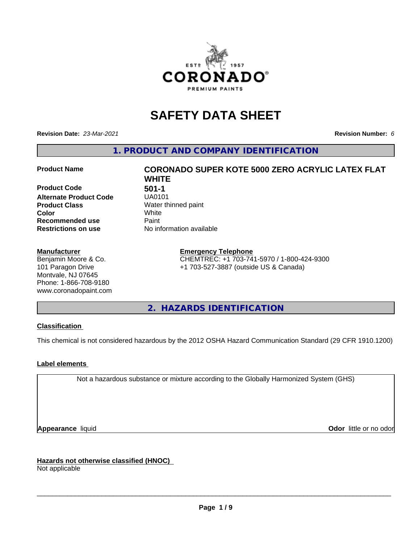

# **SAFETY DATA SHEET**

**Revision Date:** *23-Mar-2021* **Revision Number:** *6*

**1. PRODUCT AND COMPANY IDENTIFICATION**

**Product Code 501-1**<br>**Alternate Product Code 501-01 Alternate Product Code Product Class** Water thinned paint<br> **Color** White **Recommended use Caint Restrictions on use** No information available

#### **Manufacturer**

Benjamin Moore & Co. 101 Paragon Drive Montvale, NJ 07645 Phone: 1-866-708-9180 www.coronadopaint.com

# **Product Name CORONADO SUPER KOTE 5000 ZERO ACRYLIC LATEX FLAT WHITE Color** White

**Emergency Telephone** CHEMTREC: +1 703-741-5970 / 1-800-424-9300 +1 703-527-3887 (outside US & Canada)

**2. HAZARDS IDENTIFICATION**

#### **Classification**

This chemical is not considered hazardous by the 2012 OSHA Hazard Communication Standard (29 CFR 1910.1200)

#### **Label elements**

Not a hazardous substance or mixture according to the Globally Harmonized System (GHS)

**Appearance** liquid **Contract Contract Contract Contract Contract Contract Contract Contract Contract Contract Contract Contract Contract Contract Contract Contract Contract Contract Contract Contract Contract Contract Con** 

**Hazards not otherwise classified (HNOC)**

Not applicable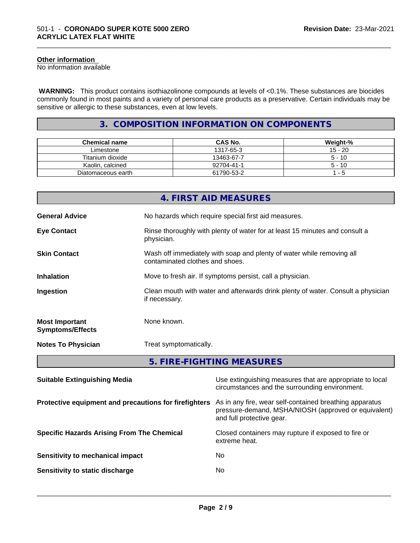#### **Other information**

No information available

 **WARNING:** This product contains isothiazolinone compounds at levels of <0.1%. These substances are biocides commonly found in most paints and a variety of personal care products as a preservative. Certain individuals may be sensitive or allergic to these substances, even at low levels.

\_\_\_\_\_\_\_\_\_\_\_\_\_\_\_\_\_\_\_\_\_\_\_\_\_\_\_\_\_\_\_\_\_\_\_\_\_\_\_\_\_\_\_\_\_\_\_\_\_\_\_\_\_\_\_\_\_\_\_\_\_\_\_\_\_\_\_\_\_\_\_\_\_\_\_\_\_\_\_\_\_\_\_\_\_\_\_\_\_\_\_\_\_

#### **3. COMPOSITION INFORMATION ON COMPONENTS**

| <b>Chemical name</b> | <b>CAS No.</b> | Weight-%  |
|----------------------|----------------|-----------|
| Limestone            | 1317-65-3      | $15 - 20$ |
| Titanium dioxide     | 13463-67-7     | $5 - 10$  |
| Kaolin, calcined     | 92704-41-1     | $5 - 10$  |
| Diatomaceous earth   | 61790-53-2     | - 5       |

| Protective equipment and precautions for firefighters As in any fire, wear self-contained breathing apparatus |  |  |
|---------------------------------------------------------------------------------------------------------------|--|--|
| Use extinguishing measures that are appropriate to local<br>circumstances and the surrounding environment.    |  |  |
| 5. FIRE-FIGHTING MEASURES                                                                                     |  |  |
| Treat symptomatically.                                                                                        |  |  |
| None known.                                                                                                   |  |  |
| Clean mouth with water and afterwards drink plenty of water. Consult a physician<br>if necessary.             |  |  |
| Move to fresh air. If symptoms persist, call a physician.                                                     |  |  |
| Wash off immediately with soap and plenty of water while removing all<br>contaminated clothes and shoes.      |  |  |
| Rinse thoroughly with plenty of water for at least 15 minutes and consult a<br>physician.                     |  |  |
| No hazards which require special first aid measures.                                                          |  |  |
| 4. FIRST AID MEASURES                                                                                         |  |  |
|                                                                                                               |  |  |

and full protective gear. **Specific Hazards Arising From The Chemical Closed containers may rupture if exposed to fire or** 

**Sensitivity to mechanical impact** No **Sensitivity to static discharge** No

extreme heat.

 $\overline{\phantom{a}}$  ,  $\overline{\phantom{a}}$  ,  $\overline{\phantom{a}}$  ,  $\overline{\phantom{a}}$  ,  $\overline{\phantom{a}}$  ,  $\overline{\phantom{a}}$  ,  $\overline{\phantom{a}}$  ,  $\overline{\phantom{a}}$  ,  $\overline{\phantom{a}}$  ,  $\overline{\phantom{a}}$  ,  $\overline{\phantom{a}}$  ,  $\overline{\phantom{a}}$  ,  $\overline{\phantom{a}}$  ,  $\overline{\phantom{a}}$  ,  $\overline{\phantom{a}}$  ,  $\overline{\phantom{a}}$ 

pressure-demand, MSHA/NIOSH (approved or equivalent)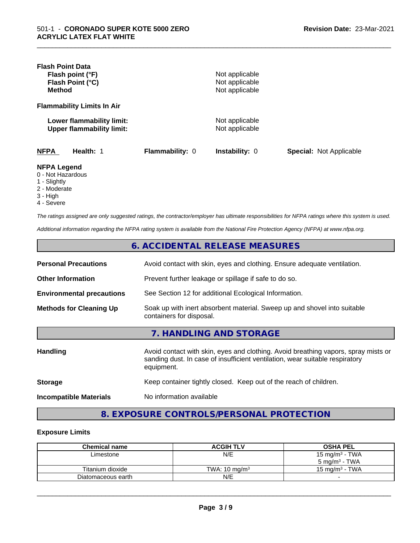| <b>Flash Point Data</b><br>Flash point (°F)<br>Flash Point (°C)<br><b>Method</b>       |                 | Not applicable<br>Not applicable<br>Not applicable |                                |
|----------------------------------------------------------------------------------------|-----------------|----------------------------------------------------|--------------------------------|
| <b>Flammability Limits In Air</b>                                                      |                 |                                                    |                                |
| Lower flammability limit:<br><b>Upper flammability limit:</b>                          |                 | Not applicable<br>Not applicable                   |                                |
| <b>NFPA</b><br>Health: 1                                                               | Flammability: 0 | <b>Instability: 0</b>                              | <b>Special: Not Applicable</b> |
| <b>NFPA Legend</b><br>0 - Not Hazardous<br>1 - Slightly<br>$\bigcap A$ and $\bigcap A$ |                 |                                                    |                                |

\_\_\_\_\_\_\_\_\_\_\_\_\_\_\_\_\_\_\_\_\_\_\_\_\_\_\_\_\_\_\_\_\_\_\_\_\_\_\_\_\_\_\_\_\_\_\_\_\_\_\_\_\_\_\_\_\_\_\_\_\_\_\_\_\_\_\_\_\_\_\_\_\_\_\_\_\_\_\_\_\_\_\_\_\_\_\_\_\_\_\_\_\_

- 2 Moderate
- 
- 3 High

4 - Severe

*The ratings assigned are only suggested ratings, the contractor/employer has ultimate responsibilities for NFPA ratings where this system is used.*

*Additional information regarding the NFPA rating system is available from the National Fire Protection Agency (NFPA) at www.nfpa.org.*

|                                  | 6. ACCIDENTAL RELEASE MEASURES                                                                                                                                                   |
|----------------------------------|----------------------------------------------------------------------------------------------------------------------------------------------------------------------------------|
| <b>Personal Precautions</b>      | Avoid contact with skin, eyes and clothing. Ensure adequate ventilation.                                                                                                         |
| <b>Other Information</b>         | Prevent further leakage or spillage if safe to do so.                                                                                                                            |
| <b>Environmental precautions</b> | See Section 12 for additional Ecological Information.                                                                                                                            |
| <b>Methods for Cleaning Up</b>   | Soak up with inert absorbent material. Sweep up and shovel into suitable<br>containers for disposal.                                                                             |
|                                  | 7. HANDLING AND STORAGE                                                                                                                                                          |
| <b>Handling</b>                  | Avoid contact with skin, eyes and clothing. Avoid breathing vapors, spray mists or<br>sanding dust. In case of insufficient ventilation, wear suitable respiratory<br>equipment. |
| <b>Storage</b>                   | Keep container tightly closed. Keep out of the reach of children.                                                                                                                |
| <b>Incompatible Materials</b>    | No information available                                                                                                                                                         |

### **8. EXPOSURE CONTROLS/PERSONAL PROTECTION**

#### **Exposure Limits**

| <b>Chemical name</b> | <b>ACGIH TLV</b>         | <b>OSHA PEL</b>           |
|----------------------|--------------------------|---------------------------|
| Limestone            | N/E                      | 15 mg/m $3$ - TWA         |
|                      |                          | $5 \text{ ma/m}^3$ - TWA  |
| Titanium dioxide     | TWA: $10 \text{ mg/m}^3$ | $15 \text{ ma/m}^3$ - TWA |
| Diatomaceous earth   | N/E                      |                           |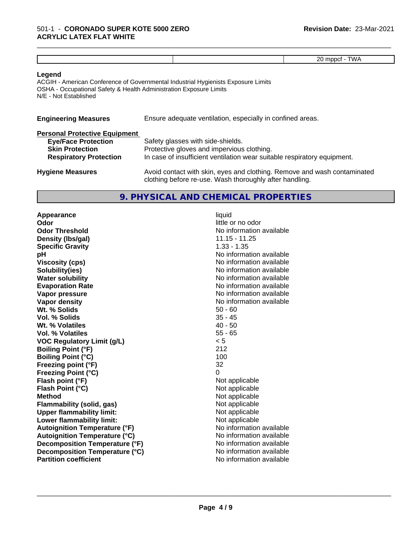|  | $\cdots$ |
|--|----------|

\_\_\_\_\_\_\_\_\_\_\_\_\_\_\_\_\_\_\_\_\_\_\_\_\_\_\_\_\_\_\_\_\_\_\_\_\_\_\_\_\_\_\_\_\_\_\_\_\_\_\_\_\_\_\_\_\_\_\_\_\_\_\_\_\_\_\_\_\_\_\_\_\_\_\_\_\_\_\_\_\_\_\_\_\_\_\_\_\_\_\_\_\_

#### **Legend**

ACGIH - American Conference of Governmental Industrial Hygienists Exposure Limits OSHA - Occupational Safety & Health Administration Exposure Limits N/E - Not Established

| <b>Engineering Measures</b>          | Ensure adequate ventilation, especially in confined areas. |
|--------------------------------------|------------------------------------------------------------|
| <b>Personal Protective Equipment</b> |                                                            |
| <b>Eye/Face Protection</b>           | Safety glasses with side-shields.                          |
| <b>Skin Protection</b>               | Protective gloves and impervious clothing.                 |

**Respiratory Protection** In case of insufficient ventilation wear suitable respiratory equipment.

| <b>Hygiene Measures</b> | Avoid contact with skin, eyes and clothing. Remove and wash contaminated |
|-------------------------|--------------------------------------------------------------------------|
|                         | clothing before re-use. Wash thoroughly after handling.                  |

#### **9. PHYSICAL AND CHEMICAL PROPERTIES**

**Appearance** liquid **Odor** little or no odor **Odor Threshold No information available No information available Density (lbs/gal)** 11.15 - 11.25 **Specific Gravity** 1.33 - 1.35 **pH pH**  $\blacksquare$ **Viscosity (cps)** No information available **Solubility(ies)** No information available **Water solubility Water solubility Water solubility Water solubility Water solubility Water solution Evaporation Rate No information available No information available Vapor pressure** No information available **Vapor density Vapor** density **Wt. % Solids** 50 - 60 **Vol. % Solids** 35 - 45<br> **Wt. % Volatiles** 35 - 45 **Wt. % Volatiles Vol. % Volatiles** 55 - 65 **VOC Regulatory Limit (g/L)** < 5 **Boiling Point (°F)** 212 **Boiling Point (°C)** 100 **Freezing point (°F)** 32 **Freezing Point (°C)**<br> **Flash point (°F)**<br> **Flash point (°F)**<br> **Point (°F)**<br> **Point (°F)**<br> **Point (°F)**<br> **Point (°F) Flash point (°F)**<br> **Flash Point (°C)**<br> **Flash Point (°C)**<br> **C Flash Point (°C) Method**<br> **Flammability (solid, gas)**<br> **Example 2018** Not applicable **Flammability (solid, gas)** Not applicable<br> **Upper flammability limit:** Not applicable **Upper flammability limit: Lower flammability limit:** Not applicable **Autoignition Temperature (°F)** No information available **Autoignition Temperature (°C)** No information available **Decomposition Temperature (°F)** No information available **Decomposition Temperature (°C)** No information available **Partition coefficient** No information available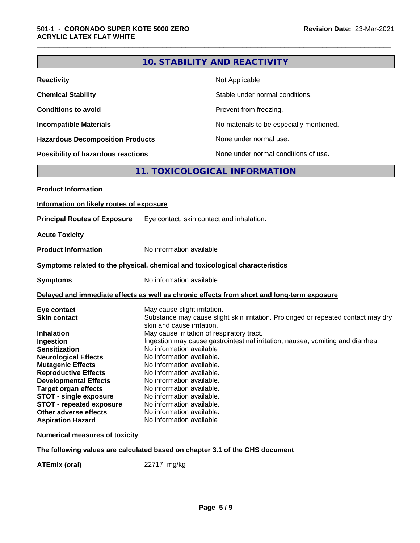|                                                                                                                                                                                                                                                 |                                                                                                                                                                                                                                     | <b>10. STABILITY AND REACTIVITY</b>                                                                                                                                                                                |
|-------------------------------------------------------------------------------------------------------------------------------------------------------------------------------------------------------------------------------------------------|-------------------------------------------------------------------------------------------------------------------------------------------------------------------------------------------------------------------------------------|--------------------------------------------------------------------------------------------------------------------------------------------------------------------------------------------------------------------|
| <b>Reactivity</b>                                                                                                                                                                                                                               |                                                                                                                                                                                                                                     | Not Applicable                                                                                                                                                                                                     |
| <b>Chemical Stability</b>                                                                                                                                                                                                                       |                                                                                                                                                                                                                                     | Stable under normal conditions.                                                                                                                                                                                    |
| <b>Conditions to avoid</b>                                                                                                                                                                                                                      |                                                                                                                                                                                                                                     | Prevent from freezing.                                                                                                                                                                                             |
| <b>Incompatible Materials</b>                                                                                                                                                                                                                   |                                                                                                                                                                                                                                     | No materials to be especially mentioned.                                                                                                                                                                           |
| <b>Hazardous Decomposition Products</b>                                                                                                                                                                                                         |                                                                                                                                                                                                                                     | None under normal use.                                                                                                                                                                                             |
| Possibility of hazardous reactions                                                                                                                                                                                                              |                                                                                                                                                                                                                                     | None under normal conditions of use.                                                                                                                                                                               |
|                                                                                                                                                                                                                                                 |                                                                                                                                                                                                                                     | 11. TOXICOLOGICAL INFORMATION                                                                                                                                                                                      |
| <b>Product Information</b>                                                                                                                                                                                                                      |                                                                                                                                                                                                                                     |                                                                                                                                                                                                                    |
| Information on likely routes of exposure                                                                                                                                                                                                        |                                                                                                                                                                                                                                     |                                                                                                                                                                                                                    |
| <b>Principal Routes of Exposure</b>                                                                                                                                                                                                             |                                                                                                                                                                                                                                     | Eye contact, skin contact and inhalation.                                                                                                                                                                          |
|                                                                                                                                                                                                                                                 |                                                                                                                                                                                                                                     |                                                                                                                                                                                                                    |
| <b>Acute Toxicity</b>                                                                                                                                                                                                                           |                                                                                                                                                                                                                                     |                                                                                                                                                                                                                    |
| <b>Product Information</b>                                                                                                                                                                                                                      | No information available                                                                                                                                                                                                            |                                                                                                                                                                                                                    |
|                                                                                                                                                                                                                                                 |                                                                                                                                                                                                                                     | Symptoms related to the physical, chemical and toxicological characteristics                                                                                                                                       |
| <b>Symptoms</b>                                                                                                                                                                                                                                 | No information available                                                                                                                                                                                                            |                                                                                                                                                                                                                    |
|                                                                                                                                                                                                                                                 |                                                                                                                                                                                                                                     | Delayed and immediate effects as well as chronic effects from short and long-term exposure                                                                                                                         |
| Eye contact<br><b>Skin contact</b><br><b>Inhalation</b><br>Ingestion<br><b>Sensitization</b><br><b>Neurological Effects</b>                                                                                                                     | May cause slight irritation.<br>skin and cause irritation.<br>No information available<br>No information available.                                                                                                                 | Substance may cause slight skin irritation. Prolonged or repeated contact may dry<br>May cause irritation of respiratory tract.<br>Ingestion may cause gastrointestinal irritation, nausea, vomiting and diarrhea. |
| <b>Mutagenic Effects</b><br><b>Reproductive Effects</b><br><b>Developmental Effects</b><br><b>Target organ effects</b><br><b>STOT - single exposure</b><br><b>STOT - repeated exposure</b><br>Other adverse effects<br><b>Aspiration Hazard</b> | No information available.<br>No information available.<br>No information available.<br>No information available.<br>No information available.<br>No information available.<br>No information available.<br>No information available |                                                                                                                                                                                                                    |
| <b>Numerical measures of toxicity</b>                                                                                                                                                                                                           |                                                                                                                                                                                                                                     |                                                                                                                                                                                                                    |
|                                                                                                                                                                                                                                                 |                                                                                                                                                                                                                                     | The following values are calculated based on chapter 3.1 of the GHS document                                                                                                                                       |

**ATEmix (oral)** 22717 mg/kg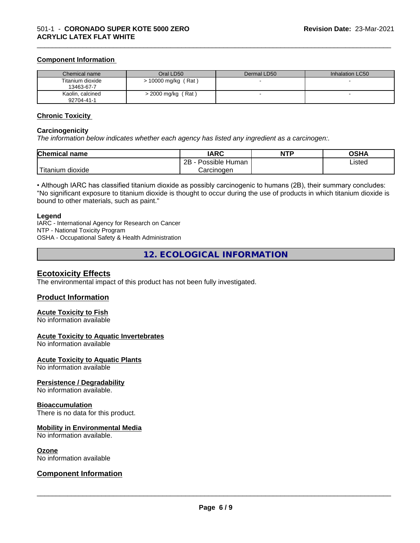#### **Component Information**

| Chemical name                  | Oral LD50             | Dermal LD50 | Inhalation LC50 |
|--------------------------------|-----------------------|-------------|-----------------|
| Titanium dioxide<br>13463-67-7 | $> 10000$ mg/kg (Rat) |             |                 |
| Kaolin, calcined<br>92704-41-1 | $>$ 2000 mg/kg (Rat)  |             |                 |

\_\_\_\_\_\_\_\_\_\_\_\_\_\_\_\_\_\_\_\_\_\_\_\_\_\_\_\_\_\_\_\_\_\_\_\_\_\_\_\_\_\_\_\_\_\_\_\_\_\_\_\_\_\_\_\_\_\_\_\_\_\_\_\_\_\_\_\_\_\_\_\_\_\_\_\_\_\_\_\_\_\_\_\_\_\_\_\_\_\_\_\_\_

#### **Chronic Toxicity**

#### **Carcinogenicity**

*The information below indicateswhether each agency has listed any ingredient as a carcinogen:.*

| <b>Chemical name</b>             | <b>IARC</b>               | <b>NTP</b> | <b>OSHA</b> |
|----------------------------------|---------------------------|------------|-------------|
|                                  | Possible<br>2B<br>· Human |            | Listed      |
| .<br>. dioxide<br><b>itanium</b> | Carcinoɑen                |            |             |

• Although IARC has classified titanium dioxide as possibly carcinogenic to humans (2B), their summary concludes: "No significant exposure to titanium dioxide is thought to occur during the use of products in which titanium dioxide is bound to other materials, such as paint."

#### **Legend**

IARC - International Agency for Research on Cancer NTP - National Toxicity Program OSHA - Occupational Safety & Health Administration

**12. ECOLOGICAL INFORMATION**

#### **Ecotoxicity Effects**

The environmental impact of this product has not been fully investigated.

#### **Product Information**

#### **Acute Toxicity to Fish**

No information available

#### **Acute Toxicity to Aquatic Invertebrates**

No information available

#### **Acute Toxicity to Aquatic Plants**

No information available

#### **Persistence / Degradability**

No information available.

#### **Bioaccumulation**

There is no data for this product.

#### **Mobility in Environmental Media**

No information available.

#### **Ozone**

No information available

#### **Component Information**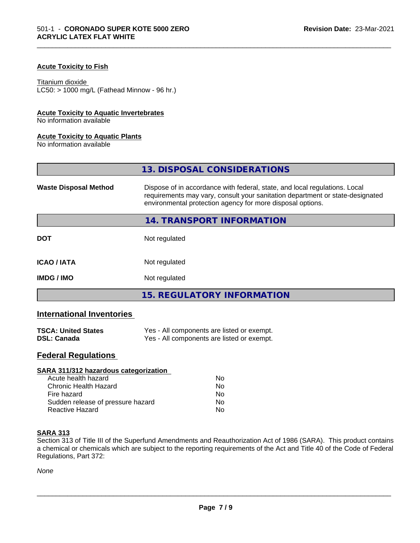#### **Acute Toxicity to Fish**

#### Titanium dioxide

 $LC50:$  > 1000 mg/L (Fathead Minnow - 96 hr.)

#### **Acute Toxicity to Aquatic Invertebrates**

No information available

#### **Acute Toxicity to Aquatic Plants**

No information available

|                              | 13. DISPOSAL CONSIDERATIONS                                                                                                                                                                                               |
|------------------------------|---------------------------------------------------------------------------------------------------------------------------------------------------------------------------------------------------------------------------|
| <b>Waste Disposal Method</b> | Dispose of in accordance with federal, state, and local regulations. Local<br>requirements may vary, consult your sanitation department or state-designated<br>environmental protection agency for more disposal options. |
|                              | 14. TRANSPORT INFORMATION                                                                                                                                                                                                 |
| <b>DOT</b>                   | Not regulated                                                                                                                                                                                                             |
| <b>ICAO / IATA</b>           | Not regulated                                                                                                                                                                                                             |
| <b>IMDG/IMO</b>              | Not regulated                                                                                                                                                                                                             |
|                              | 15. REGULATORY INFORMATION                                                                                                                                                                                                |

\_\_\_\_\_\_\_\_\_\_\_\_\_\_\_\_\_\_\_\_\_\_\_\_\_\_\_\_\_\_\_\_\_\_\_\_\_\_\_\_\_\_\_\_\_\_\_\_\_\_\_\_\_\_\_\_\_\_\_\_\_\_\_\_\_\_\_\_\_\_\_\_\_\_\_\_\_\_\_\_\_\_\_\_\_\_\_\_\_\_\_\_\_

#### **International Inventories**

| <b>TSCA: United States</b> | Yes - All components are listed or exempt. |
|----------------------------|--------------------------------------------|
| <b>DSL: Canada</b>         | Yes - All components are listed or exempt. |

#### **Federal Regulations**

| SARA 311/312 hazardous categorization |    |  |
|---------------------------------------|----|--|
| Acute health hazard                   | Nο |  |
| Chronic Health Hazard                 | No |  |
| Fire hazard                           | Nο |  |
| Sudden release of pressure hazard     | No |  |
| Reactive Hazard                       | No |  |

#### **SARA 313**

Section 313 of Title III of the Superfund Amendments and Reauthorization Act of 1986 (SARA). This product contains a chemical or chemicals which are subject to the reporting requirements of the Act and Title 40 of the Code of Federal Regulations, Part 372:

*None*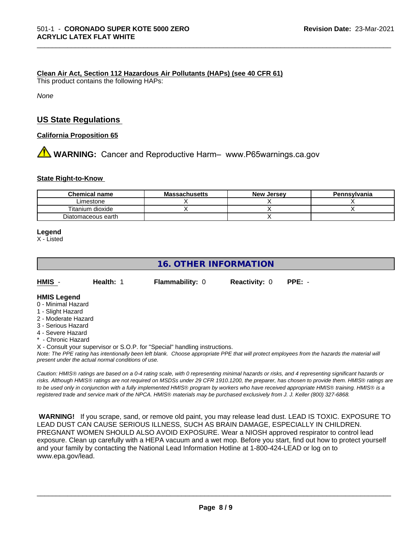#### **Clean Air Act,Section 112 Hazardous Air Pollutants (HAPs) (see 40 CFR 61)**

This product contains the following HAPs:

*None*

#### **US State Regulations**

**California Proposition 65**

## **A** WARNING: Cancer and Reproductive Harm– www.P65warnings.ca.gov

#### **State Right-to-Know**

| <b>Chemical name</b> | <b>Massachusetts</b> | <b>New Jersey</b> | Pennsylvania |
|----------------------|----------------------|-------------------|--------------|
| _imestone            |                      |                   |              |
| Titanium dioxide     |                      |                   |              |
| Diatomaceous earth   |                      |                   |              |

\_\_\_\_\_\_\_\_\_\_\_\_\_\_\_\_\_\_\_\_\_\_\_\_\_\_\_\_\_\_\_\_\_\_\_\_\_\_\_\_\_\_\_\_\_\_\_\_\_\_\_\_\_\_\_\_\_\_\_\_\_\_\_\_\_\_\_\_\_\_\_\_\_\_\_\_\_\_\_\_\_\_\_\_\_\_\_\_\_\_\_\_\_

#### **Legend**

X - Listed

#### **16. OTHER INFORMATION**

| HMIS | <b>Health: 1</b> | <b>Flammability: 0</b> | <b>Reactivity: 0</b> | PPE: - |
|------|------------------|------------------------|----------------------|--------|
|      |                  |                        |                      |        |

#### **HMIS Legend**

- 0 Minimal Hazard
- 1 Slight Hazard
- 2 Moderate Hazard
- 3 Serious Hazard
- 4 Severe Hazard
- \* Chronic Hazard

X - Consult your supervisor or S.O.P. for "Special" handling instructions.

*Note: The PPE rating has intentionally been left blank. Choose appropriate PPE that will protect employees from the hazards the material will present under the actual normal conditions of use.*

*Caution: HMISÒ ratings are based on a 0-4 rating scale, with 0 representing minimal hazards or risks, and 4 representing significant hazards or risks. Although HMISÒ ratings are not required on MSDSs under 29 CFR 1910.1200, the preparer, has chosen to provide them. HMISÒ ratings are to be used only in conjunction with a fully implemented HMISÒ program by workers who have received appropriate HMISÒ training. HMISÒ is a registered trade and service mark of the NPCA. HMISÒ materials may be purchased exclusively from J. J. Keller (800) 327-6868.*

 **WARNING!** If you scrape, sand, or remove old paint, you may release lead dust. LEAD IS TOXIC. EXPOSURE TO LEAD DUST CAN CAUSE SERIOUS ILLNESS, SUCH AS BRAIN DAMAGE, ESPECIALLY IN CHILDREN. PREGNANT WOMEN SHOULD ALSO AVOID EXPOSURE.Wear a NIOSH approved respirator to control lead exposure. Clean up carefully with a HEPA vacuum and a wet mop. Before you start, find out how to protect yourself and your family by contacting the National Lead Information Hotline at 1-800-424-LEAD or log on to www.epa.gov/lead.